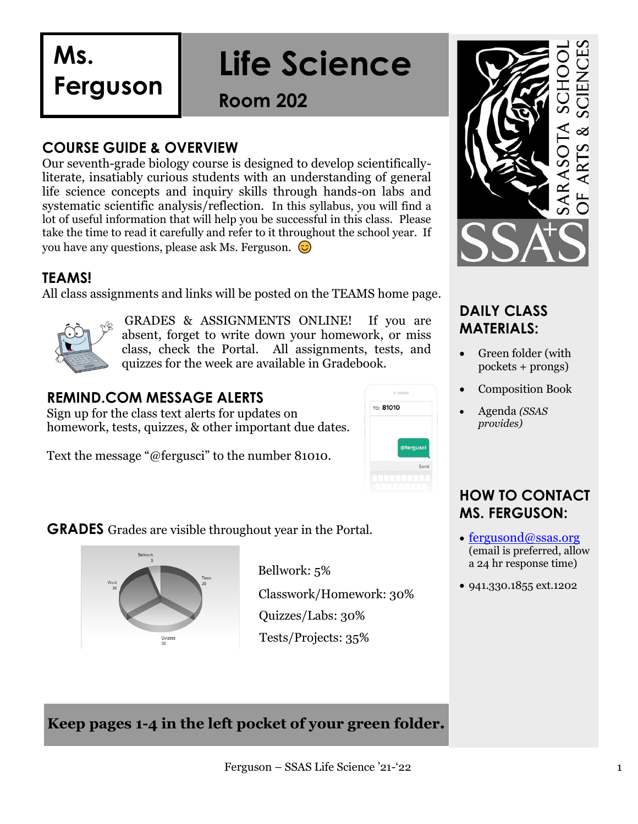**Ms.** 

**Ferguson**

# **Life Science**

**Room 202**

### **COURSE GUIDE & OVERVIEW**

Our seventh-grade biology course is designed to develop scientificallyliterate, insatiably curious students with an understanding of general life science concepts and inquiry skills through hands-on labs and systematic scientific analysis/reflection. In this syllabus, you will find a lot of useful information that will help you be successful in this class. Please take the time to read it carefully and refer to it throughout the school year. If you have any questions, please ask Ms. Ferguson.  $\odot$ 

### **TEAMS!**

All class assignments and links will be posted on the TEAMS home page.



GRADES & ASSIGNMENTS ONLINE! If you are absent, forget to write down your homework, or miss class, check the Portal. All assignments, tests, and quizzes for the week are available in Gradebook.

### **REMIND.COM MESSAGE ALERTS**

Sign up for the class text alerts for updates on homework, tests, quizzes, & other important due dates.

Text the message "@fergusci" to the number 81010.



**GRADES** Grades are visible throughout year in the Portal.



Bellwork: 5% Classwork/Homework: 30% Quizzes/Labs: 30% Tests/Projects: 35%



### **DAILY CLASS MATERIALS:**

- Green folder (with pockets + prongs)
- Composition Book
- Agenda *(SSAS provides)*

### **HOW TO CONTACT MS. FERGUSON:**

- [fergusond@ssas.org](mailto:fergusond@ssas.org) (email is preferred, allow a 24 hr response time)
- 941.330.1855 ext.1202

**Keep pages 1-4 in the left pocket of your green folder.**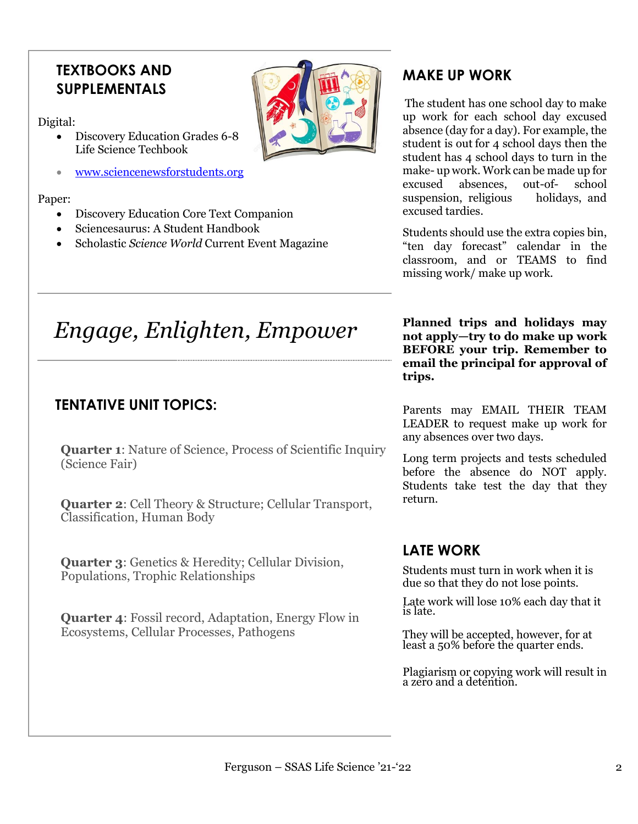### **TEXTBOOKS AND SUPPLEMENTALS**

Digital:

- Discovery Education Grades 6-8 Life Science Techbook
- [www.sciencenewsforstudents.org](http://www.sciencenewsforstudents.org/)

#### Paper:

- Discovery Education Core Text Companion
- Sciencesaurus: A Student Handbook
- Scholastic *Science World* Current Event Magazine

### **MAKE UP WORK**

The student has one school day to make up work for each school day excused absence (day for a day). For example, the student is out for 4 school days then the student has 4 school days to turn in the make- up work. Work can be made up for excused absences, out-of- school suspension, religious holidays, and excused tardies.

Students should use the extra copies bin, "ten day forecast" calendar in the classroom, and or TEAMS to find missing work/ make up work.

# *Engage, Enlighten, Empower* **Planned trips and holidays may**

### **TENTATIVE UNIT TOPICS:**

**Quarter 1:** Nature of Science, Process of Scientific Inquiry (Science Fair)

**Quarter 2**: Cell Theory & Structure; Cellular Transport, Classification, Human Body

**Quarter 3**: Genetics & Heredity; Cellular Division, Populations, Trophic Relationships

**Quarter 4**: Fossil record, Adaptation, Energy Flow in Ecosystems, Cellular Processes, Pathogens

**not apply—try to do make up work BEFORE your trip. Remember to email the principal for approval of trips.**

Parents may EMAIL THEIR TEAM LEADER to request make up work for any absences over two days.

Long term projects and tests scheduled before the absence do NOT apply. Students take test the day that they return.

### **LATE WORK**

Students must turn in work when it is due so that they do not lose points.

Late work will lose 10% each day that it is late.

They will be accepted, however, for at least a 50% before the quarter ends.

Plagiarism or copying work will result in a zero and a detention.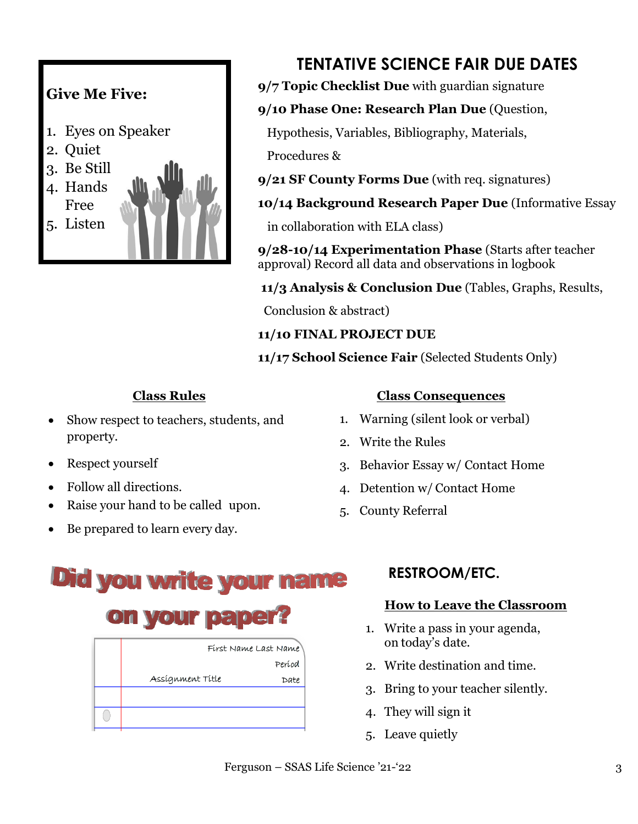

### **TENTATIVE SCIENCE FAIR DUE DATES**

- **9/7 Topic Checklist Due** with guardian signature
- **9/10 Phase One: Research Plan Due** (Question,

Hypothesis, Variables, Bibliography, Materials,

Procedures &

- **9/21 SF County Forms Due** (with req. signatures)
- **10/14 Background Research Paper Due** (Informative Essay

in collaboration with ELA class)

**9/28-10/14 Experimentation Phase** (Starts after teacher approval) Record all data and observations in logbook

**11/3 Analysis & Conclusion Due** (Tables, Graphs, Results,

Conclusion & abstract)

**11/10 FINAL PROJECT DUE**

**11/17 School Science Fair** (Selected Students Only)

### **Class Rules**

- Show respect to teachers, students, and property.
- Respect yourself
- Follow all directions.
- Raise your hand to be called upon.
- Be prepared to learn every day.

### **Class Consequences**

- 1. Warning (silent look or verbal)
- 2. Write the Rules
- 3. Behavior Essay w/ Contact Home
- 4. Detention w/ Contact Home
- 5. County Referral

## **Did you write your** name **on your pap** First Name Last Name

|                  | Períod |
|------------------|--------|
| Assígnment Títle | Date   |
|                  |        |
|                  |        |
|                  |        |

### **RESTROOM/ETC.**

### **How to Leave the Classroom**

- 1. Write a pass in your agenda, on today's date.
- 2. Write destination and time.
- 3. Bring to your teacher silently.
- 4. They will sign it
- 5. Leave quietly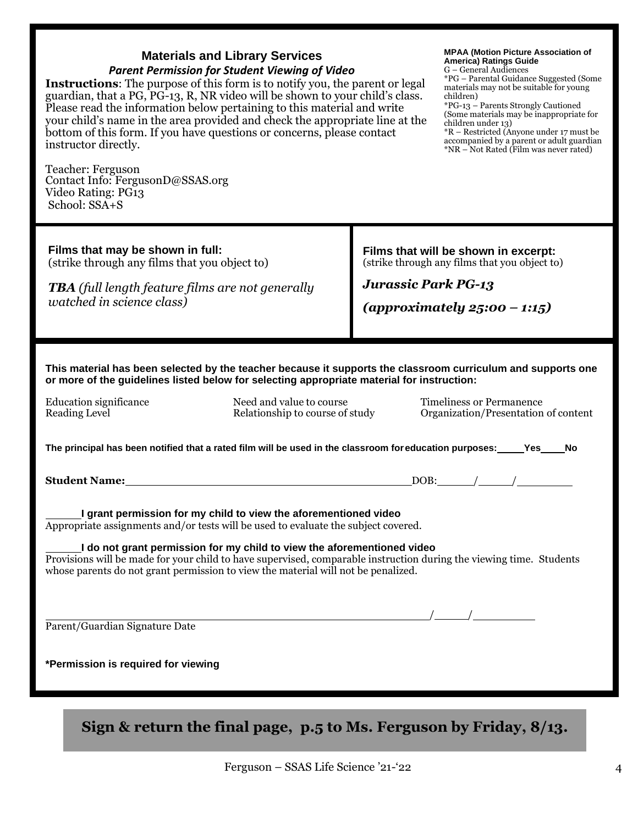| <b>Materials and Library Services</b><br><b>Parent Permission for Student Viewing of Video</b><br><b>Instructions:</b> The purpose of this form is to notify you, the parent or legal<br>guardian, that a PG, PG-13, R, NR video will be shown to your child's class.<br>Please read the information below pertaining to this material and write<br>your child's name in the area provided and check the appropriate line at the<br>bottom of this form. If you have questions or concerns, please contact<br>instructor directly.<br>Teacher: Ferguson<br>Contact Info: FergusonD@SSAS.org<br>Video Rating: PG13 |                            | <b>MPAA (Motion Picture Association of</b><br>America) Ratings Guide<br>G - General Audiences<br>*PG - Parental Guidance Suggested (Some<br>materials may not be suitable for young<br>children)<br>*PG-13 - Parents Strongly Cautioned<br>(Some materials may be inappropriate for<br>children under 13)<br>*R – Restricted (Anyone under 17 must be<br>accompanied by a parent or adult guardian<br>*NR – Not Rated (Film was never rated) |
|-------------------------------------------------------------------------------------------------------------------------------------------------------------------------------------------------------------------------------------------------------------------------------------------------------------------------------------------------------------------------------------------------------------------------------------------------------------------------------------------------------------------------------------------------------------------------------------------------------------------|----------------------------|----------------------------------------------------------------------------------------------------------------------------------------------------------------------------------------------------------------------------------------------------------------------------------------------------------------------------------------------------------------------------------------------------------------------------------------------|
| School: SSA+S                                                                                                                                                                                                                                                                                                                                                                                                                                                                                                                                                                                                     |                            |                                                                                                                                                                                                                                                                                                                                                                                                                                              |
| Films that may be shown in full:<br>(strike through any films that you object to)<br><b>TBA</b> (full length feature films are not generally<br>watched in science class)                                                                                                                                                                                                                                                                                                                                                                                                                                         | <b>Jurassic Park PG-13</b> | Films that will be shown in excerpt:<br>(strike through any films that you object to)<br>(approximately $25:00 - 1:15$ )                                                                                                                                                                                                                                                                                                                     |
| This material has been selected by the teacher because it supports the classroom curriculum and supports one                                                                                                                                                                                                                                                                                                                                                                                                                                                                                                      |                            |                                                                                                                                                                                                                                                                                                                                                                                                                                              |
| or more of the guidelines listed below for selecting appropriate material for instruction:                                                                                                                                                                                                                                                                                                                                                                                                                                                                                                                        |                            |                                                                                                                                                                                                                                                                                                                                                                                                                                              |
| <b>Education significance</b><br>Need and value to course<br><b>Reading Level</b><br>Relationship to course of study                                                                                                                                                                                                                                                                                                                                                                                                                                                                                              |                            | <b>Timeliness or Permanence</b><br>Organization/Presentation of content                                                                                                                                                                                                                                                                                                                                                                      |
| The principal has been notified that a rated film will be used in the classroom for education purposes: _____Yes____                                                                                                                                                                                                                                                                                                                                                                                                                                                                                              |                            | No                                                                                                                                                                                                                                                                                                                                                                                                                                           |
|                                                                                                                                                                                                                                                                                                                                                                                                                                                                                                                                                                                                                   |                            | $\lfloor$ DOB: $\lfloor$ / $\lfloor$ / $\lfloor$ / $\lfloor$ / $\lfloor$ / $\lfloor$ / $\lfloor$ / $\lfloor$ / $\lfloor$ / $\lfloor$ / $\lfloor$ / $\lfloor$ / $\lfloor$ / $\lfloor$ / $\lfloor$ / $\lfloor$ / $\lfloor$ / $\lfloor$ / $\lfloor$ / $\lfloor$ / $\lfloor$ / $\lfloor$ / $\lfloor$ / $\lfloor$ / $\lfloor$ / $\lfloor$ / $\lfloor$ / $\lfloor$ / $\lfloor$ / $\lfloor$ / $\$                                                   |
| I grant permission for my child to view the aforementioned video<br>Appropriate assignments and/or tests will be used to evaluate the subject covered.                                                                                                                                                                                                                                                                                                                                                                                                                                                            |                            |                                                                                                                                                                                                                                                                                                                                                                                                                                              |
| I do not grant permission for my child to view the aforementioned video<br>Provisions will be made for your child to have supervised, comparable instruction during the viewing time. Students<br>whose parents do not grant permission to view the material will not be penalized.                                                                                                                                                                                                                                                                                                                               |                            |                                                                                                                                                                                                                                                                                                                                                                                                                                              |
|                                                                                                                                                                                                                                                                                                                                                                                                                                                                                                                                                                                                                   |                            |                                                                                                                                                                                                                                                                                                                                                                                                                                              |
| Parent/Guardian Signature Date                                                                                                                                                                                                                                                                                                                                                                                                                                                                                                                                                                                    |                            |                                                                                                                                                                                                                                                                                                                                                                                                                                              |
| *Permission is required for viewing                                                                                                                                                                                                                                                                                                                                                                                                                                                                                                                                                                               |                            |                                                                                                                                                                                                                                                                                                                                                                                                                                              |
| Sign & return the final page, $p.5$ to Ms. Ferguson by Friday, $8/13$ .                                                                                                                                                                                                                                                                                                                                                                                                                                                                                                                                           |                            |                                                                                                                                                                                                                                                                                                                                                                                                                                              |